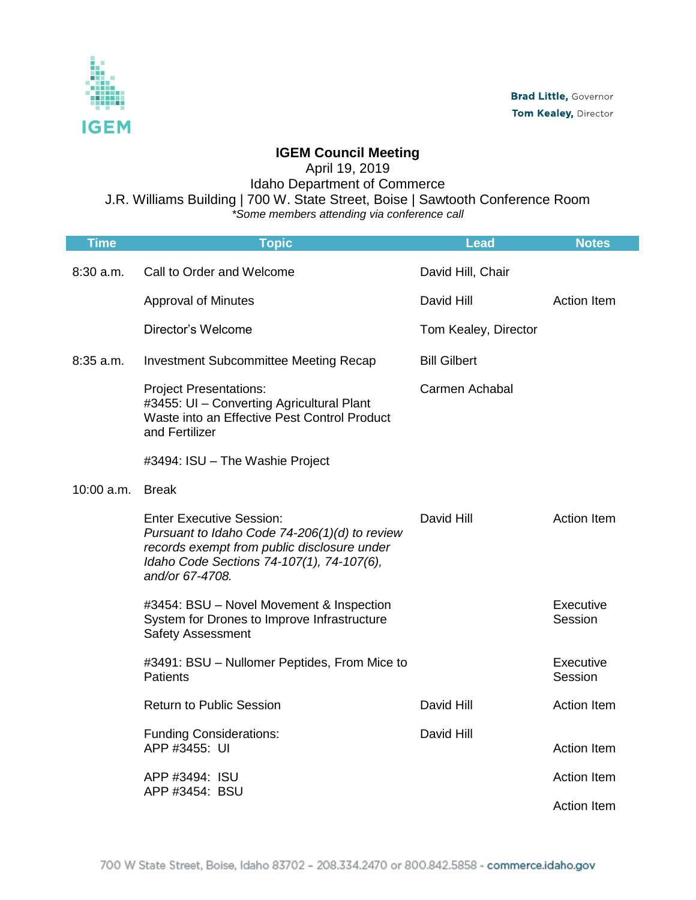

## **IGEM Council Meeting**

April 19, 2019

Idaho Department of Commerce

J.R. Williams Building | 700 W. State Street, Boise | Sawtooth Conference Room

*\*Some members attending via conference call*

| <b>Time</b>  | <b>Topic</b>                                                                                                                                                                                    | <b>Lead</b>          | <b>Notes</b>         |
|--------------|-------------------------------------------------------------------------------------------------------------------------------------------------------------------------------------------------|----------------------|----------------------|
| $8:30$ a.m.  | Call to Order and Welcome                                                                                                                                                                       | David Hill, Chair    |                      |
|              | <b>Approval of Minutes</b>                                                                                                                                                                      | David Hill           | <b>Action Item</b>   |
|              | Director's Welcome                                                                                                                                                                              | Tom Kealey, Director |                      |
| $8:35$ a.m.  | Investment Subcommittee Meeting Recap                                                                                                                                                           | <b>Bill Gilbert</b>  |                      |
|              | <b>Project Presentations:</b><br>#3455: UI - Converting Agricultural Plant<br>Waste into an Effective Pest Control Product<br>and Fertilizer                                                    | Carmen Achabal       |                      |
|              | #3494: ISU - The Washie Project                                                                                                                                                                 |                      |                      |
| $10:00$ a.m. | <b>Break</b>                                                                                                                                                                                    |                      |                      |
|              | <b>Enter Executive Session:</b><br>Pursuant to Idaho Code 74-206(1)(d) to review<br>records exempt from public disclosure under<br>Idaho Code Sections 74-107(1), 74-107(6),<br>and/or 67-4708. | David Hill           | <b>Action Item</b>   |
|              | #3454: BSU - Novel Movement & Inspection<br>System for Drones to Improve Infrastructure<br><b>Safety Assessment</b>                                                                             |                      | Executive<br>Session |
|              | #3491: BSU - Nullomer Peptides, From Mice to<br><b>Patients</b>                                                                                                                                 |                      | Executive<br>Session |
|              | <b>Return to Public Session</b>                                                                                                                                                                 | David Hill           | <b>Action Item</b>   |
|              | <b>Funding Considerations:</b><br>APP #3455: UI                                                                                                                                                 | David Hill           | <b>Action Item</b>   |
|              | APP #3494: ISU<br>APP #3454: BSU                                                                                                                                                                |                      | <b>Action Item</b>   |
|              |                                                                                                                                                                                                 |                      | <b>Action Item</b>   |